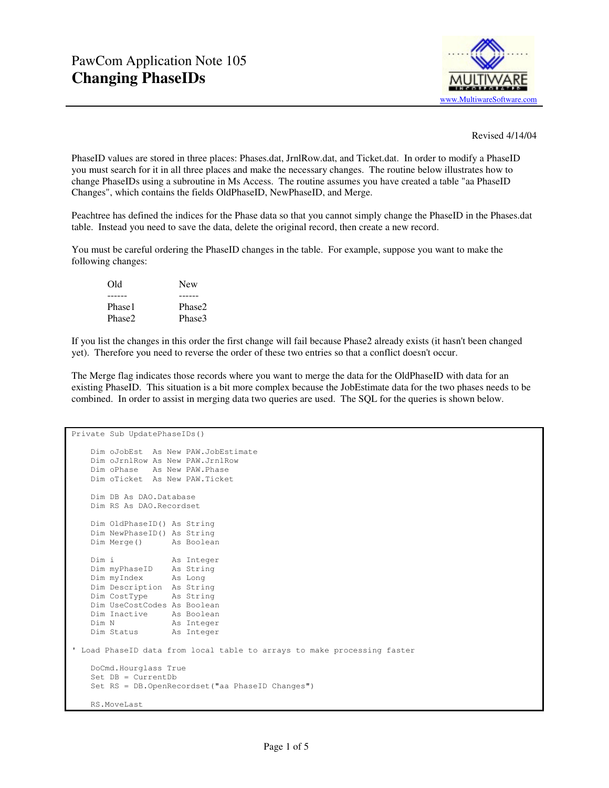

Revised 4/14/04

PhaseID values are stored in three places: Phases.dat, JrnlRow.dat, and Ticket.dat. In order to modify a PhaseID you must search for it in all three places and make the necessary changes. The routine below illustrates how to change PhaseIDs using a subroutine in Ms Access. The routine assumes you have created a table "aa PhaseID Changes", which contains the fields OldPhaseID, NewPhaseID, and Merge.

Peachtree has defined the indices for the Phase data so that you cannot simply change the PhaseID in the Phases.dat table. Instead you need to save the data, delete the original record, then create a new record.

You must be careful ordering the PhaseID changes in the table. For example, suppose you want to make the following changes:

| Old    | <b>New</b> |
|--------|------------|
|        |            |
| Phase1 | Phase2     |
| Phase2 | Phase3     |

If you list the changes in this order the first change will fail because Phase2 already exists (it hasn't been changed yet). Therefore you need to reverse the order of these two entries so that a conflict doesn't occur.

The Merge flag indicates those records where you want to merge the data for the OldPhaseID with data for an existing PhaseID. This situation is a bit more complex because the JobEstimate data for the two phases needs to be combined. In order to assist in merging data two queries are used. The SQL for the queries is shown below.

```
Private Sub UpdatePhaseIDs() 
    Dim oJobEst As New PAW.JobEstimate 
    Dim oJrnlRow As New PAW.JrnlRow 
    Dim oPhase As New PAW.Phase 
    Dim oTicket As New PAW.Ticket 
    Dim DB As DAO.Database 
    Dim RS As DAO.Recordset 
    Dim OldPhaseID() As String 
    Dim NewPhaseID() As String 
    Dim Merge() As Boolean 
   Dim i As Integer
    Dim myPhaseID As String 
 Dim myIndex As Long 
 Dim Description As String 
    Dim CostType As String 
    Dim UseCostCodes As Boolean 
   Dim Inactive As Boolean<br>Dim N As Integer
                   As Integer
    Dim Status As Integer 
' Load PhaseID data from local table to arrays to make processing faster 
    DoCmd.Hourglass True 
    Set DB = CurrentDb 
    Set RS = DB.OpenRecordset("aa PhaseID Changes")
    RS.MoveLast
```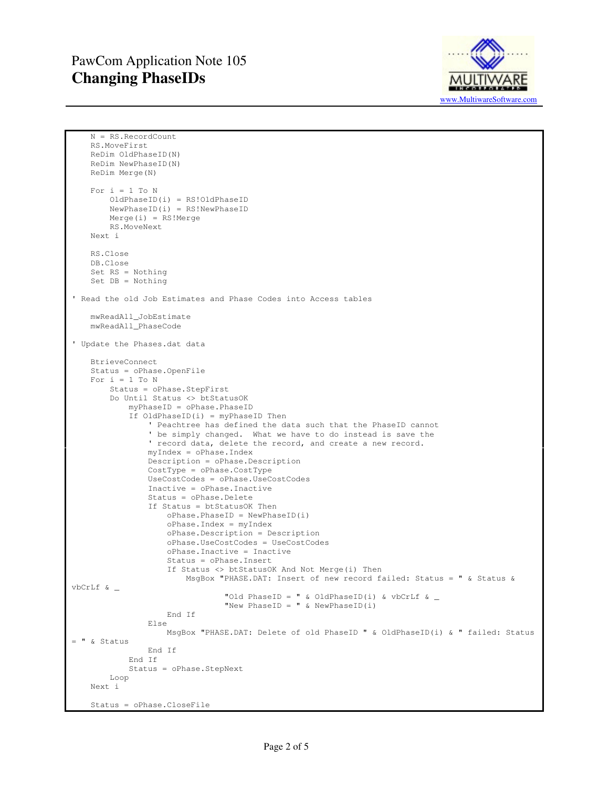

```
 N = RS.RecordCount 
     RS.MoveFirst 
     ReDim OldPhaseID(N) 
     ReDim NewPhaseID(N) 
     ReDim Merge(N) 
    For i = 1 To N
         OldPhaseID(i) = RS!OldPhaseID 
         NewPhaseID(i) = RS!NewPhaseID 
         Merge(i) = RS!Merge 
         RS.MoveNext 
     Next i 
     RS.Close 
     DB.Close 
     Set RS = Nothing 
     Set DB = Nothing 
' Read the old Job Estimates and Phase Codes into Access tables 
     mwReadAll_JobEstimate 
     mwReadAll_PhaseCode 
' Update the Phases.dat data 
     BtrieveConnect 
     Status = oPhase.OpenFile 
    For i = 1 To N
         Status = oPhase.StepFirst 
         Do Until Status <> btStatusOK 
              myPhaseID = oPhase.PhaseID 
              If OldPhaseID(i) = myPhaseID Then 
                  ' Peachtree has defined the data such that the PhaseID cannot 
                  ' be simply changed. What we have to do instead is save the 
                  ' record data, delete the record, and create a new record. 
                  myIndex = oPhase.Index 
                  Description = oPhase.Description 
                  CostType = oPhase.CostType 
                  UseCostCodes = oPhase.UseCostCodes 
                  Inactive = oPhase.Inactive 
                  Status = oPhase.Delete 
                  If Status = btStatusOK Then 
                      oPhase.PhaseID = NewPhaseID(i) 
                      oPhase.Index = myIndex 
                      oPhase.Description = Description 
                      oPhase.UseCostCodes = UseCostCodes 
                      oPhase.Inactive = Inactive 
                      Status = oPhase.Insert 
                      If Status <> btStatusOK And Not Merge(i) Then 
                         MsgBox "PHASE.DAT: Insert of new record failed: Status = " & Status &
vbCrLf & _ 
                                   "Old PhaseID = " & OldPhaseID(i) & vbCrLf & _
                                   "New PhaseID = " & NewPhaseID(i) 
                      End If 
                  Else 
                      MsgBox "PHASE.DAT: Delete of old PhaseID " & OldPhaseID(i) & " failed: Status 
= " & Status 
                  End If 
              End If 
              Status = oPhase.StepNext 
         Loop 
     Next i 
     Status = oPhase.CloseFile
```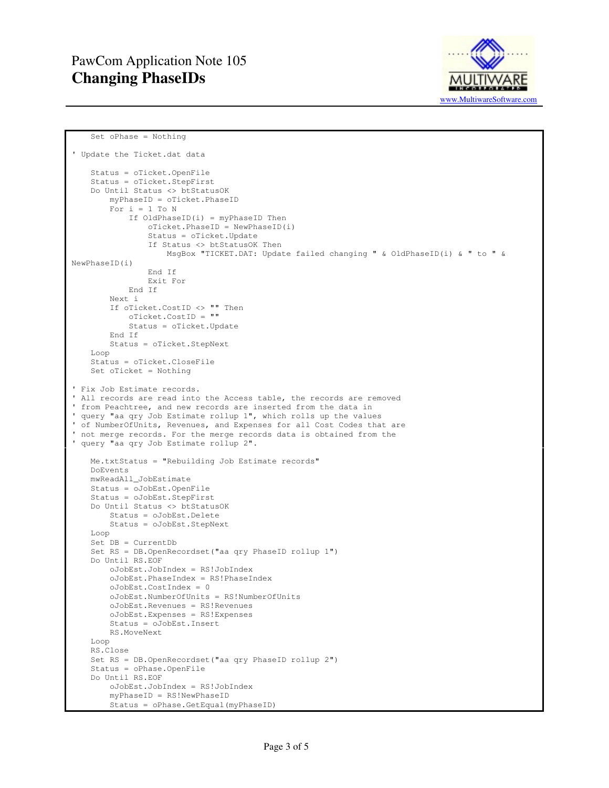

```
 Set oPhase = Nothing 
' Update the Ticket.dat data 
     Status = oTicket.OpenFile 
     Status = oTicket.StepFirst 
     Do Until Status <> btStatusOK 
         myPhaseID = oTicket.PhaseID 
        For i = 1 To N
             If OldPhaseID(i) = myPhaseID Then 
                  oTicket.PhaseID = NewPhaseID(i) 
                  Status = oTicket.Update 
                  If Status <> btStatusOK Then 
                      MsgBox "TICKET.DAT: Update failed changing " & OldPhaseID(i) & " to " & 
NewPhaseID(i) 
                  End If 
                  Exit For 
             End If 
         Next i 
         If oTicket.CostID <> "" Then 
             oTicket.CostID = "" 
             Status = oTicket.Update 
         End If 
         Status = oTicket.StepNext 
     Loop 
     Status = oTicket.CloseFile 
     Set oTicket = Nothing 
' Fix Job Estimate records. 
' All records are read into the Access table, the records are removed 
' from Peachtree, and new records are inserted from the data in 
' query "aa qry Job Estimate rollup 1", which rolls up the values 
' of NumberOfUnits, Revenues, and Expenses for all Cost Codes that are 
' not merge records. For the merge records data is obtained from the 
' query "aa qry Job Estimate rollup 2". 
     Me.txtStatus = "Rebuilding Job Estimate records" 
     DoEvents 
     mwReadAll_JobEstimate 
     Status = oJobEst.OpenFile 
     Status = oJobEst.StepFirst 
     Do Until Status <> btStatusOK 
         Status = oJobEst.Delete 
         Status = oJobEst.StepNext 
     Loop 
     Set DB = CurrentDb 
     Set RS = DB.OpenRecordset("aa qry PhaseID rollup 1") 
     Do Until RS.EOF 
         oJobEst.JobIndex = RS!JobIndex 
         oJobEst.PhaseIndex = RS!PhaseIndex 
         oJobEst.CostIndex = 0 
         oJobEst.NumberOfUnits = RS!NumberOfUnits 
         oJobEst.Revenues = RS!Revenues 
         oJobEst.Expenses = RS!Expenses 
         Status = oJobEst.Insert 
         RS.MoveNext 
     Loop 
     RS.Close 
     Set RS = DB.OpenRecordset("aa qry PhaseID rollup 2") 
     Status = oPhase.OpenFile 
     Do Until RS.EOF 
         oJobEst.JobIndex = RS!JobIndex 
         myPhaseID = RS!NewPhaseID 
         Status = oPhase.GetEqual(myPhaseID)
```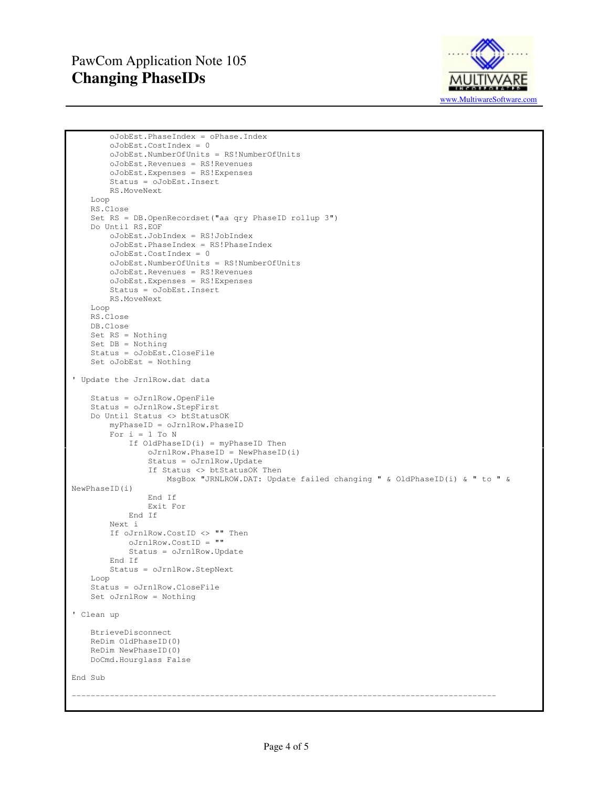

```
 oJobEst.PhaseIndex = oPhase.Index 
         oJobEst.CostIndex = 0 
         oJobEst.NumberOfUnits = RS!NumberOfUnits 
         oJobEst.Revenues = RS!Revenues 
         oJobEst.Expenses = RS!Expenses 
         Status = oJobEst.Insert 
         RS.MoveNext 
     Loop 
     RS.Close 
     Set RS = DB.OpenRecordset("aa qry PhaseID rollup 3") 
     Do Until RS.EOF 
         oJobEst.JobIndex = RS!JobIndex 
         oJobEst.PhaseIndex = RS!PhaseIndex 
         oJobEst.CostIndex = 0 
         oJobEst.NumberOfUnits = RS!NumberOfUnits 
         oJobEst.Revenues = RS!Revenues 
         oJobEst.Expenses = RS!Expenses 
         Status = oJobEst.Insert 
         RS.MoveNext 
     Loop 
     RS.Close 
     DB.Close 
     Set RS = Nothing 
     Set DB = Nothing 
     Status = oJobEst.CloseFile 
     Set oJobEst = Nothing 
' Update the JrnlRow.dat data 
     Status = oJrnlRow.OpenFile 
     Status = oJrnlRow.StepFirst 
     Do Until Status <> btStatusOK 
         myPhaseID = oJrnlRow.PhaseID 
        For i = 1 To N
              If OldPhaseID(i) = myPhaseID Then 
                  oJrnlRow.PhaseID = NewPhaseID(i) 
                  Status = oJrnlRow.Update 
                  If Status <> btStatusOK Then 
                      MsgBox "JRNLROW.DAT: Update failed changing " & OldPhaseID(i) & " to " & 
NewPhaseID(i) 
                  End If 
                  Exit For 
              End If 
         Next i 
         If oJrnlRow.CostID <> "" Then 
              oJrnlRow.CostID = "" 
              Status = oJrnlRow.Update 
         End If 
         Status = oJrnlRow.StepNext 
     Loop 
     Status = oJrnlRow.CloseFile 
     Set oJrnlRow = Nothing 
' Clean up 
     BtrieveDisconnect 
     ReDim OldPhaseID(0) 
     ReDim NewPhaseID(0) 
     DoCmd.Hourglass False 
End Sub 
-----------------------------------------------------------------------------------------
```